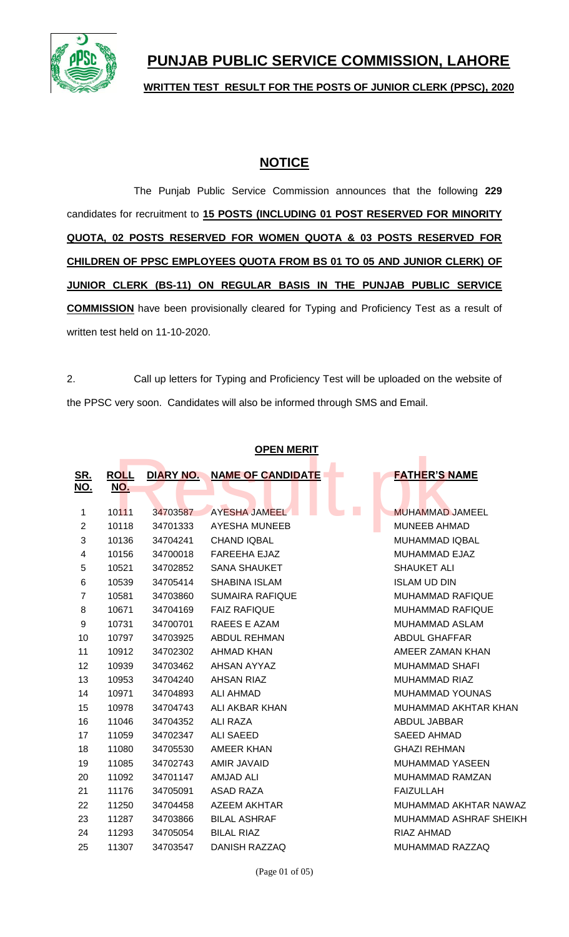

# **PUNJAB PUBLIC SERVICE COMMISSION, LAHORE**

**WRITTEN TEST RESULT FOR THE POSTS OF JUNIOR CLERK (PPSC), 2020**

## **NOTICE**

The Punjab Public Service Commission announces that the following **229** candidates for recruitment to **15 POSTS (INCLUDING 01 POST RESERVED FOR MINORITY QUOTA, 02 POSTS RESERVED FOR WOMEN QUOTA & 03 POSTS RESERVED FOR CHILDREN OF PPSC EMPLOYEES QUOTA FROM BS 01 TO 05 AND JUNIOR CLERK) OF JUNIOR CLERK (BS-11) ON REGULAR BASIS IN THE PUNJAB PUBLIC SERVICE COMMISSION** have been provisionally cleared for Typing and Proficiency Test as a result of written test held on 11-10-2020.

2. Call up letters for Typing and Proficiency Test will be uploaded on the website of the PPSC very soon. Candidates will also be informed through SMS and Email.

| UFEN MENH                |                           |           |                          |                                          |  |
|--------------------------|---------------------------|-----------|--------------------------|------------------------------------------|--|
| <u>SR.</u><br><u>NO.</u> | <b>ROLL</b><br><u>NO.</u> | DIARY NO. | <b>NAME OF CANDIDATE</b> | <b>FATHER'S NAME</b>                     |  |
|                          |                           |           |                          |                                          |  |
| 1                        | 10111                     | 34703587  | AYESHA JAMEEL            | <b>College</b><br><b>MUHAMMAD JAMEEL</b> |  |
| $\overline{2}$           | 10118                     | 34701333  | <b>AYESHA MUNEEB</b>     | <b>MUNEEB AHMAD</b>                      |  |
| 3                        | 10136                     | 34704241  | <b>CHAND IQBAL</b>       | MUHAMMAD IQBAL                           |  |
| 4                        | 10156                     | 34700018  | <b>FAREEHA EJAZ</b>      | <b>MUHAMMAD EJAZ</b>                     |  |
| 5                        | 10521                     | 34702852  | <b>SANA SHAUKET</b>      | <b>SHAUKET ALI</b>                       |  |
| 6                        | 10539                     | 34705414  | <b>SHABINA ISLAM</b>     | <b>ISLAM UD DIN</b>                      |  |
| $\overline{7}$           | 10581                     | 34703860  | <b>SUMAIRA RAFIQUE</b>   | <b>MUHAMMAD RAFIQUE</b>                  |  |
| 8                        | 10671                     | 34704169  | <b>FAIZ RAFIQUE</b>      | <b>MUHAMMAD RAFIQUE</b>                  |  |
| 9                        | 10731                     | 34700701  | RAEES E AZAM             | MUHAMMAD ASLAM                           |  |
| 10                       | 10797                     | 34703925  | <b>ABDUL REHMAN</b>      | <b>ABDUL GHAFFAR</b>                     |  |
| 11                       | 10912                     | 34702302  | AHMAD KHAN               | AMEER ZAMAN KHAN                         |  |
| 12                       | 10939                     | 34703462  | AHSAN AYYAZ              | <b>MUHAMMAD SHAFI</b>                    |  |
| 13                       | 10953                     | 34704240  | <b>AHSAN RIAZ</b>        | <b>MUHAMMAD RIAZ</b>                     |  |
| 14                       | 10971                     | 34704893  | <b>ALI AHMAD</b>         | MUHAMMAD YOUNAS                          |  |
| 15                       | 10978                     | 34704743  | ALI AKBAR KHAN           | MUHAMMAD AKHTAR KHAN                     |  |
| 16                       | 11046                     | 34704352  | ALI RAZA                 | ABDUL JABBAR                             |  |
| 17                       | 11059                     | 34702347  | ALI SAEED                | <b>SAEED AHMAD</b>                       |  |
| 18                       | 11080                     | 34705530  | AMEER KHAN               | <b>GHAZI REHMAN</b>                      |  |
| 19                       | 11085                     | 34702743  | AMIR JAVAID              | <b>MUHAMMAD YASEEN</b>                   |  |
| 20                       | 11092                     | 34701147  | <b>AMJAD ALI</b>         | MUHAMMAD RAMZAN                          |  |
| 21                       | 11176                     | 34705091  | <b>ASAD RAZA</b>         | <b>FAIZULLAH</b>                         |  |
| 22                       | 11250                     | 34704458  | <b>AZEEM AKHTAR</b>      | MUHAMMAD AKHTAR NAWAZ                    |  |
| 23                       | 11287                     | 34703866  | <b>BILAL ASHRAF</b>      | MUHAMMAD ASHRAF SHEIKH                   |  |
| 24                       | 11293                     | 34705054  | <b>BILAL RIAZ</b>        | RIAZ AHMAD                               |  |
| 25                       | 11307                     | 34703547  | DANISH RAZZAQ            | MUHAMMAD RAZZAQ                          |  |
|                          |                           |           |                          |                                          |  |

(Page 01 of 05)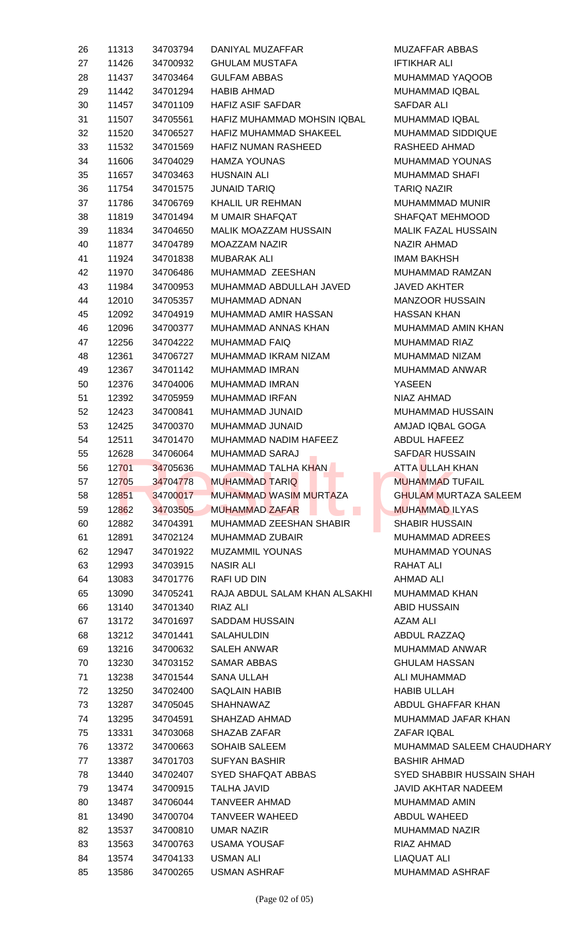| 26 | 11313 | 34703794 | DANIYAL MUZAFFAR              | <b>MUZAFFAR ABBAS</b>     |
|----|-------|----------|-------------------------------|---------------------------|
| 27 | 11426 | 34700932 | <b>GHULAM MUSTAFA</b>         | <b>IFTIKHAR ALI</b>       |
| 28 | 11437 | 34703464 | <b>GULFAM ABBAS</b>           | MUHAMMAD YAQOOE           |
| 29 | 11442 | 34701294 | <b>HABIB AHMAD</b>            | MUHAMMAD IQBAL            |
| 30 | 11457 | 34701109 | <b>HAFIZ ASIF SAFDAR</b>      | SAFDAR ALI                |
| 31 | 11507 | 34705561 | HAFIZ MUHAMMAD MOHSIN IQBAL   | MUHAMMAD IQBAL            |
| 32 | 11520 | 34706527 | HAFIZ MUHAMMAD SHAKEEL        | <b>MUHAMMAD SIDDIQU</b>   |
| 33 | 11532 | 34701569 | <b>HAFIZ NUMAN RASHEED</b>    | RASHEED AHMAD             |
| 34 | 11606 | 34704029 | <b>HAMZA YOUNAS</b>           | MUHAMMAD YOUNAS           |
| 35 | 11657 | 34703463 | <b>HUSNAIN ALI</b>            | <b>MUHAMMAD SHAFI</b>     |
| 36 | 11754 | 34701575 | <b>JUNAID TARIQ</b>           | <b>TARIQ NAZIR</b>        |
| 37 | 11786 | 34706769 | KHALIL UR REHMAN              | MUHAMMMAD MUNIR           |
| 38 | 11819 | 34701494 | M UMAIR SHAFQAT               | SHAFQAT MEHMOOD           |
| 39 | 11834 | 34704650 | MALIK MOAZZAM HUSSAIN         | <b>MALIK FAZAL HUSSAI</b> |
| 40 | 11877 | 34704789 | <b>MOAZZAM NAZIR</b>          | <b>NAZIR AHMAD</b>        |
| 41 | 11924 | 34701838 | <b>MUBARAK ALI</b>            | <b>IMAM BAKHSH</b>        |
| 42 | 11970 | 34706486 | MUHAMMAD ZEESHAN              | MUHAMMAD RAMZAN           |
| 43 | 11984 | 34700953 | MUHAMMAD ABDULLAH JAVED       | <b>JAVED AKHTER</b>       |
| 44 | 12010 | 34705357 | MUHAMMAD ADNAN                | <b>MANZOOR HUSSAIN</b>    |
| 45 | 12092 | 34704919 | MUHAMMAD AMIR HASSAN          | <b>HASSAN KHAN</b>        |
| 46 | 12096 | 34700377 | MUHAMMAD ANNAS KHAN           | MUHAMMAD AMIN KH          |
| 47 | 12256 | 34704222 | <b>MUHAMMAD FAIQ</b>          | <b>MUHAMMAD RIAZ</b>      |
| 48 | 12361 | 34706727 | MUHAMMAD IKRAM NIZAM          | MUHAMMAD NIZAM            |
| 49 | 12367 | 34701142 | <b>MUHAMMAD IMRAN</b>         | MUHAMMAD ANWAR            |
| 50 | 12376 | 34704006 | <b>MUHAMMAD IMRAN</b>         | <b>YASEEN</b>             |
| 51 | 12392 | 34705959 | <b>MUHAMMAD IRFAN</b>         | NIAZ AHMAD                |
| 52 | 12423 | 34700841 | MUHAMMAD JUNAID               | <b>MUHAMMAD HUSSAIN</b>   |
| 53 | 12425 | 34700370 | MUHAMMAD JUNAID               | AMJAD IQBAL GOGA          |
| 54 | 12511 | 34701470 | MUHAMMAD NADIM HAFEEZ         | <b>ABDUL HAFEEZ</b>       |
| 55 | 12628 | 34706064 | <b>MUHAMMAD SARAJ</b>         | <b>SAFDAR HUSSAIN</b>     |
| 56 | 12701 | 34705636 | MUHAMMAD TALHA KHAN           | ATTA ULLAH KHAN           |
| 57 | 12705 | 34704778 | <b>MUHAMMAD TARIQ</b>         | <b>MUHAMMAD TUFAIL</b>    |
| 58 | 12851 | 34700017 | <b>MUHAMMAD WASIM MURTAZA</b> | <b>GHULAM MURTAZA S</b>   |
| 59 | 12862 | 34703505 | <b>MUHAMMAD ZAFAR</b>         | <b>MUHAMMAD ILYAS</b>     |
| 60 | 12882 | 34704391 | MUHAMMAD ZEESHAN SHABIR       | <b>SHABIR HUSSAIN</b>     |
| 61 | 12891 | 34702124 | <b>MUHAMMAD ZUBAIR</b>        | <b>MUHAMMAD ADREES</b>    |
| 62 | 12947 | 34701922 | <b>MUZAMMIL YOUNAS</b>        | MUHAMMAD YOUNAS           |
| 63 | 12993 | 34703915 | <b>NASIR ALI</b>              | RAHAT ALI                 |
| 64 | 13083 | 34701776 | <b>RAFI UD DIN</b>            | <b>AHMAD ALI</b>          |
| 65 | 13090 | 34705241 | RAJA ABDUL SALAM KHAN ALSAKHI | <b>MUHAMMAD KHAN</b>      |
| 66 | 13140 | 34701340 | <b>RIAZ ALI</b>               | <b>ABID HUSSAIN</b>       |
| 67 | 13172 | 34701697 | <b>SADDAM HUSSAIN</b>         | <b>AZAM ALI</b>           |
| 68 | 13212 | 34701441 | SALAHULDIN                    | ABDUL RAZZAQ              |
| 69 | 13216 | 34700632 | <b>SALEH ANWAR</b>            | MUHAMMAD ANWAR            |
| 70 | 13230 | 34703152 | <b>SAMAR ABBAS</b>            | <b>GHULAM HASSAN</b>      |
| 71 | 13238 | 34701544 | <b>SANA ULLAH</b>             | ALI MUHAMMAD              |
| 72 | 13250 | 34702400 | <b>SAQLAIN HABIB</b>          | <b>HABIB ULLAH</b>        |
| 73 | 13287 | 34705045 | <b>SHAHNAWAZ</b>              | <b>ABDUL GHAFFAR KHA</b>  |
| 74 | 13295 | 34704591 | SHAHZAD AHMAD                 | <b>MUHAMMAD JAFAR K</b>   |
| 75 | 13331 | 34703068 | <b>SHAZAB ZAFAR</b>           | <b>ZAFAR IQBAL</b>        |
| 76 | 13372 | 34700663 | <b>SOHAIB SALEEM</b>          | <b>MUHAMMAD SALEEM</b>    |
| 77 | 13387 | 34701703 | <b>SUFYAN BASHIR</b>          | <b>BASHIR AHMAD</b>       |
| 78 | 13440 | 34702407 | SYED SHAFQAT ABBAS            | <b>SYED SHABBIR HUSS</b>  |
| 79 | 13474 | 34700915 | <b>TALHA JAVID</b>            | <b>JAVID AKHTAR NADE</b>  |
| 80 | 13487 | 34706044 | <b>TANVEER AHMAD</b>          | MUHAMMAD AMIN             |
| 81 | 13490 | 34700704 | <b>TANVEER WAHEED</b>         | <b>ABDUL WAHEED</b>       |
| 82 | 13537 | 34700810 | <b>UMAR NAZIR</b>             | <b>MUHAMMAD NAZIR</b>     |
| 83 | 13563 | 34700763 | <b>USAMA YOUSAF</b>           | RIAZ AHMAD                |
| 84 | 13574 | 34704133 | <b>USMAN ALI</b>              | <b>LIAQUAT ALI</b>        |
| 85 | 13586 | 34700265 | <b>USMAN ASHRAF</b>           | MUHAMMAD ASHRAF           |

MUZAFFAR ABBAS **IFTIKHAR ALI** MUHAMMAD YAQOOB MUHAMMAD IQBAL SAFDAR ALI MUHAMMAD IQBAL MUHAMMAD SIDDIQUE RASHEED AHMAD MUHAMMAD YOUNAS MUHAMMAD SHAFI **TARIQ NAZIR** MUHAMMMAD MUNIR SHAFQAT MEHMOOD MALIK FAZAL HUSSAIN NAZIR AHMAD IMAM BAKHSH MUHAMMAD RAMZAN JAVED AKHTER MANZOOR HUSSAIN HASSAN KHAN MUHAMMAD AMIN KHAN MUHAMMAD RIAZ MUHAMMAD NIZAM MUHAMMAD ANWAR YASEEN NIAZ AHMAD MUHAMMAD HUSSAIN AMJAD IQBAL GOGA ABDUL HAFEEZ SAFDAR HUSSAIN ATTA ULLAH KHAN **MUHAMMAD TUFAIL** GHULAM MURTAZA SALEEM **MUHAMMAD ILYAS** SHABIR HUSSAIN MUHAMMAD ADREES MUHAMMAD YOUNAS RAHAT ALI AHMAD ALI MUHAMMAD KHAN **ABID HUSSAIN** AZAM ALI ABDUL RAZZAQ MUHAMMAD ANWAR **GHULAM HASSAN** ALI MUHAMMAD HABIB ULLAH ABDUL GHAFFAR KHAN MUHAMMAD JAFAR KHAN ZAFAR IQBAL MUHAMMAD SALEEM CHAUDHARY BASHIR AHMAD SYED SHABBIR HUSSAIN SHAH JAVID AKHTAR NADEEM MUHAMMAD AMIN ABDUL WAHEED MUHAMMAD NAZIR RIAZ AHMAD LIAQUAT ALI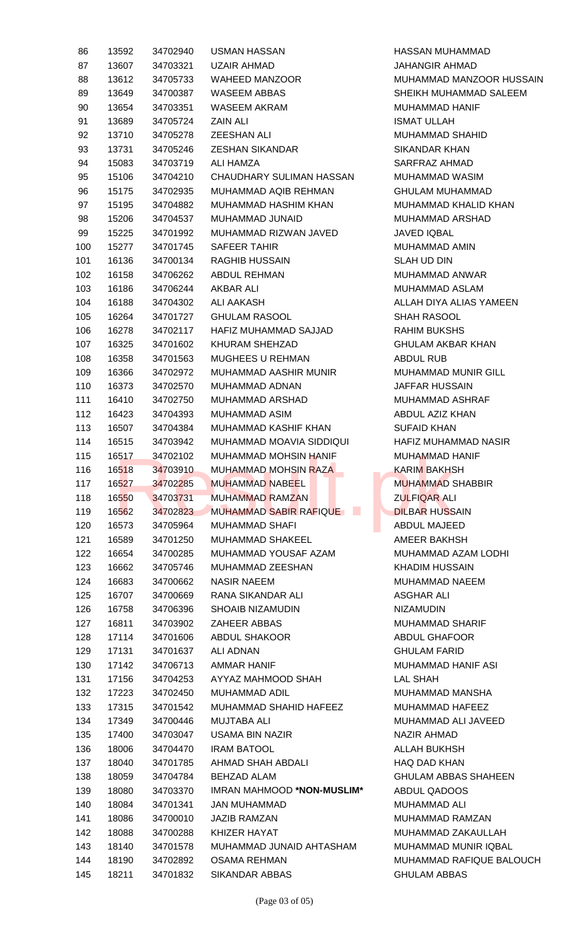| 86  | 13592 | 34702940 | <b>USMAN HASSAN</b>                  | <b>HASSAN MUH</b>  |
|-----|-------|----------|--------------------------------------|--------------------|
| 87  | 13607 | 34703321 | <b>UZAIR AHMAD</b>                   | JAHANGIR AF        |
| 88  | 13612 | 34705733 | <b>WAHEED MANZOOR</b>                | <b>MUHAMMAD</b>    |
| 89  | 13649 | 34700387 | <b>WASEEM ABBAS</b>                  | SHEIKH MUH/        |
| 90  | 13654 | 34703351 | WASEEM AKRAM                         | <b>MUHAMMAD I</b>  |
| 91  | 13689 | 34705724 | <b>ZAIN ALI</b>                      | <b>ISMAT ULLAH</b> |
| 92  | 13710 | 34705278 | <b>ZEESHAN ALI</b>                   | <b>MUHAMMAD \$</b> |
| 93  | 13731 | 34705246 | <b>ZESHAN SIKANDAR</b>               | <b>SIKANDAR KH</b> |
| 94  | 15083 | 34703719 | <b>ALI HAMZA</b>                     | <b>SARFRAZ AHI</b> |
| 95  | 15106 | 34704210 | CHAUDHARY SULIMAN HASSAN             | <b>MUHAMMAD</b>    |
| 96  | 15175 | 34702935 | MUHAMMAD AQIB REHMAN                 | <b>GHULAM MUH</b>  |
| 97  | 15195 | 34704882 | MUHAMMAD HASHIM KHAN                 | <b>MUHAMMAD I</b>  |
| 98  | 15206 | 34704537 | MUHAMMAD JUNAID                      | <b>MUHAMMAD</b>    |
| 99  | 15225 | 34701992 | MUHAMMAD RIZWAN JAVED                | <b>JAVED IQBAL</b> |
| 100 | 15277 | 34701745 | <b>SAFEER TAHIR</b>                  | <b>MUHAMMAD</b>    |
| 101 | 16136 | 34700134 | <b>RAGHIB HUSSAIN</b>                | <b>SLAH UD DIN</b> |
| 102 | 16158 | 34706262 | <b>ABDUL REHMAN</b>                  | <b>MUHAMMAD</b>    |
| 103 | 16186 | 34706244 | <b>AKBAR ALI</b>                     | <b>MUHAMMAD</b>    |
| 104 | 16188 | 34704302 | <b>ALI AAKASH</b>                    | ALLAH DIYA A       |
| 105 | 16264 | 34701727 | <b>GHULAM RASOOL</b>                 | <b>SHAH RASOC</b>  |
| 106 | 16278 | 34702117 | HAFIZ MUHAMMAD SAJJAD                | <b>RAHIM BUKSI</b> |
| 107 | 16325 | 34701602 | KHURAM SHEHZAD                       | <b>GHULAM AKB</b>  |
| 108 | 16358 | 34701563 | MUGHEES U REHMAN                     | ABDUL RUB          |
| 109 | 16366 | 34702972 | MUHAMMAD AASHIR MUNIR                | <b>MUHAMMAD I</b>  |
| 110 | 16373 | 34702570 | MUHAMMAD ADNAN                       | <b>JAFFAR HUSS</b> |
| 111 | 16410 | 34702750 | <b>MUHAMMAD ARSHAD</b>               | <b>MUHAMMAD</b>    |
| 112 | 16423 | 34704393 | MUHAMMAD ASIM                        | <b>ABDUL AZIZK</b> |
| 113 | 16507 | 34704384 | MUHAMMAD KASHIF KHAN                 | <b>SUFAID KHAN</b> |
| 114 | 16515 | 34703942 | MUHAMMAD MOAVIA SIDDIQUI             | <b>HAFIZ MUHAN</b> |
| 115 | 16517 | 34702102 | <b>MUHAMMAD MOHSIN HANIF</b>         | <b>MUHAMMAD I</b>  |
| 116 | 16518 | 34703910 | MUHAMMAD MOHSIN RAZA                 | <b>KARIM BAKHS</b> |
| 117 | 16527 | 34702285 | <b>MUHAMMAD NABEEL</b>               | <b>MUHAMMAD \$</b> |
| 118 | 16550 | 34703731 | <b>MUHAMMAD RAMZAN</b>               | <b>ZULFIQAR AL</b> |
| 119 | 16562 | 34702823 | <b>MUHAMMAD SABIR RAFIQUE</b><br>n a | <b>DILBAR HUSS</b> |
| 120 | 16573 | 34705964 | <b>MUHAMMAD SHAFI</b>                | <b>ABDUL MAJEI</b> |
| 121 | 16589 | 34701250 | <b>MUHAMMAD SHAKEEL</b>              | <b>AMEER BAKH</b>  |
| 122 | 16654 | 34700285 | MUHAMMAD YOUSAF AZAM                 | <b>MUHAMMAD</b>    |
| 123 | 16662 | 34705746 | MUHAMMAD ZEESHAN                     | <b>KHADIM HUSS</b> |
| 124 | 16683 | 34700662 | <b>NASIR NAEEM</b>                   | <b>MUHAMMAD I</b>  |
| 125 | 16707 | 34700669 | RANA SIKANDAR ALI                    | <b>ASGHAR ALI</b>  |
| 126 | 16758 | 34706396 | <b>SHOAIB NIZAMUDIN</b>              | <b>NIZAMUDIN</b>   |
| 127 | 16811 | 34703902 | <b>ZAHEER ABBAS</b>                  | <b>MUHAMMAD \$</b> |
| 128 | 17114 | 34701606 | <b>ABDUL SHAKOOR</b>                 | <b>ABDUL GHAF</b>  |
| 129 | 17131 | 34701637 | <b>ALI ADNAN</b>                     | <b>GHULAM FAR</b>  |
| 130 | 17142 | 34706713 | <b>AMMAR HANIF</b>                   | <b>MUHAMMAD I</b>  |
| 131 | 17156 | 34704253 | AYYAZ MAHMOOD SHAH                   | <b>LAL SHAH</b>    |
| 132 | 17223 | 34702450 | MUHAMMAD ADIL                        | <b>MUHAMMAD</b>    |
| 133 | 17315 | 34701542 | MUHAMMAD SHAHID HAFEEZ               | <b>MUHAMMAD I</b>  |
| 134 | 17349 | 34700446 | <b>MUJTABA ALI</b>                   | <b>MUHAMMAD</b>    |
| 135 | 17400 | 34703047 | <b>USAMA BIN NAZIR</b>               | <b>NAZIR AHMAD</b> |
| 136 | 18006 | 34704470 | <b>IRAM BATOOL</b>                   | <b>ALLAH BUKHS</b> |
| 137 | 18040 | 34701785 | <b>AHMAD SHAH ABDALI</b>             | HAQ DAD KH/        |
| 138 | 18059 | 34704784 | <b>BEHZAD ALAM</b>                   | <b>GHULAM ABB</b>  |
| 139 | 18080 | 34703370 | <b>IMRAN MAHMOOD *NON-MUSLIM*</b>    | <b>ABDUL QADO</b>  |
| 140 | 18084 | 34701341 | <b>JAN MUHAMMAD</b>                  | <b>MUHAMMAD</b>    |
| 141 | 18086 | 34700010 | <b>JAZIB RAMZAN</b>                  | <b>MUHAMMAD</b>    |
| 142 | 18088 | 34700288 | <b>KHIZER HAYAT</b>                  | <b>MUHAMMAD 2</b>  |
| 143 | 18140 | 34701578 | MUHAMMAD JUNAID AHTASHAM             | <b>MUHAMMAD I</b>  |
| 144 | 18190 | 34702892 | <b>OSAMA REHMAN</b>                  | <b>MUHAMMAD</b>    |
| 145 | 18211 | 34701832 | <b>SIKANDAR ABBAS</b>                | <b>GHULAM ABB</b>  |

HASSAN MUHAMMAD JAHANGIR AHMAD MUHAMMAD MANZOOR HUSSAIN SHEIKH MUHAMMAD SALEEM MUHAMMAD HANIF **ISMAT ULLAH** MUHAMMAD SHAHID SIKANDAR KHAN SARFRAZ AHMAD MUHAMMAD WASIM GHULAM MUHAMMAD MUHAMMAD KHALID KHAN MUHAMMAD ARSHAD JAVED IQBAL MUHAMMAD AMIN SLAH UD DIN MUHAMMAD ANWAR MUHAMMAD ASLAM ALLAH DIYA ALIAS YAMEEN SHAH RASOOL RAHIM BUKSHS **GHULAM AKBAR KHAN** ABDUL RUB MUHAMMAD MUNIR GILL JAFFAR HUSSAIN MUHAMMAD ASHRAF ABDUL AZIZ KHAN SUFAID KHAN HAFIZ MUHAMMAD NASIR MUHAMMAD HANIF **KARIM BAKHSH** MUHAMMAD SHABBIR ZULFIQAR ALI **DILBAR HUSSAIN** ABDUL MAJEED AMEER BAKHSH MUHAMMAD AZAM LODHI KHADIM HUSSAIN MUHAMMAD NAEEM ASGHAR ALI **NIZAMUDIN** MUHAMMAD SHARIF ABDUL GHAFOOR **GHULAM FARID** MUHAMMAD HANIF ASI LAL SHAH MUHAMMAD MANSHA MUHAMMAD HAFEEZ MUHAMMAD ALI JAVEED NAZIR AHMAD ALLAH BUKHSH HAQ DAD KHAN GHULAM ABBAS SHAHEEN 139 18080 34703370 IMRAN MAHMOOD **\*NON-MUSLIM\*** ABDUL QADOOS MUHAMMAD ALI MUHAMMAD RAMZAN MUHAMMAD ZAKAULLAH MUHAMMAD MUNIR IQBAL MUHAMMAD RAFIQUE BALOUCH **GHULAM ABBAS**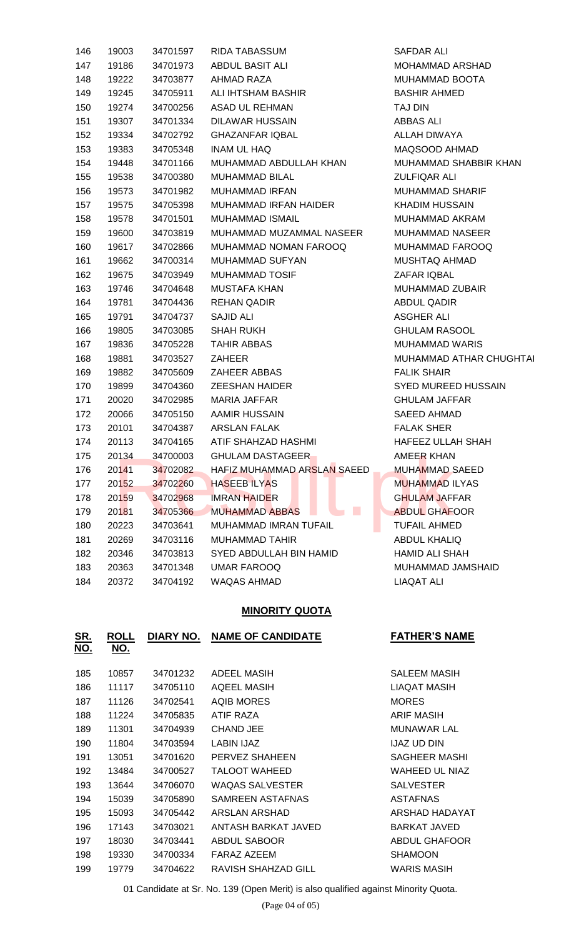| 146 | 19003 | 34701597 | <b>RIDA TABASSUM</b>                                 | SAFDAR ALI          |
|-----|-------|----------|------------------------------------------------------|---------------------|
| 147 | 19186 | 34701973 | ABDUL BASIT ALI                                      | <b>MOHAMMAD</b>     |
| 148 | 19222 | 34703877 | AHMAD RAZA                                           | <b>MUHAMMAD</b>     |
| 149 | 19245 | 34705911 | ALI IHTSHAM BASHIR                                   | <b>BASHIR AHME</b>  |
| 150 | 19274 | 34700256 | <b>ASAD UL REHMAN</b>                                | TAJ DIN             |
| 151 | 19307 | 34701334 | <b>DILAWAR HUSSAIN</b>                               | ABBAS ALI           |
| 152 | 19334 | 34702792 | <b>GHAZANFAR IQBAL</b>                               | <b>ALLAH DIWAY</b>  |
| 153 | 19383 | 34705348 | <b>INAM UL HAQ</b>                                   | MAQSOOD AH          |
| 154 | 19448 | 34701166 | MUHAMMAD ABDULLAH KHAN                               | <b>MUHAMMAD \$</b>  |
| 155 | 19538 | 34700380 | <b>MUHAMMAD BILAL</b>                                | <b>ZULFIQAR AL</b>  |
| 156 | 19573 | 34701982 | <b>MUHAMMAD IRFAN</b>                                | <b>MUHAMMAD</b>     |
| 157 | 19575 | 34705398 | MUHAMMAD IRFAN HAIDER                                | <b>KHADIM HUSS</b>  |
| 158 | 19578 | 34701501 | <b>MUHAMMAD ISMAIL</b>                               | <b>MUHAMMAD</b>     |
| 159 | 19600 | 34703819 | MUHAMMAD MUZAMMAL NASEER                             | <b>MUHAMMAD</b>     |
| 160 | 19617 | 34702866 | MUHAMMAD NOMAN FAROOQ                                | <b>MUHAMMAD</b>     |
| 161 | 19662 | 34700314 | MUHAMMAD SUFYAN                                      | MUSHTAQ AH          |
| 162 | 19675 | 34703949 | <b>MUHAMMAD TOSIF</b>                                | ZAFAR IQBAL         |
| 163 | 19746 | 34704648 | <b>MUSTAFA KHAN</b>                                  | <b>MUHAMMAD 2</b>   |
| 164 | 19781 | 34704436 | <b>REHAN QADIR</b>                                   | <b>ABDUL QADIF</b>  |
| 165 | 19791 | 34704737 | <b>SAJID ALI</b>                                     | ASGHER ALI          |
| 166 | 19805 | 34703085 | <b>SHAH RUKH</b>                                     | <b>GHULAM RAS</b>   |
| 167 | 19836 | 34705228 | <b>TAHIR ABBAS</b>                                   | <b>MUHAMMAD</b>     |
| 168 | 19881 | 34703527 | <b>ZAHEER</b>                                        | <b>MUHAMMAD</b>     |
| 169 | 19882 | 34705609 | <b>ZAHEER ABBAS</b>                                  | <b>FALIK SHAIR</b>  |
| 170 | 19899 | 34704360 | <b>ZEESHAN HAIDER</b>                                | <b>SYED MUREE</b>   |
| 171 | 20020 | 34702985 | <b>MARIA JAFFAR</b>                                  | <b>GHULAM JAFI</b>  |
| 172 | 20066 | 34705150 | AAMIR HUSSAIN                                        | <b>SAEED AHMA</b>   |
| 173 | 20101 | 34704387 | <b>ARSLAN FALAK</b>                                  | <b>FALAK SHER</b>   |
| 174 | 20113 | 34704165 | ATIF SHAHZAD HASHMI                                  | <b>HAFEEZ ULLA</b>  |
| 175 | 20134 | 34700003 | <b>GHULAM DASTAGEER</b>                              | <b>AMEER KHAN</b>   |
| 176 | 20141 | 34702082 | HAFIZ MUHAMMAD ARSLAN SAEED                          | <b>MUHAMMAD</b>     |
| 177 | 20152 | 34702260 | <b>HASEEBILYAS</b>                                   | <b>MUHAMMAD I</b>   |
| 178 | 20159 | 34702968 | <b>IMRAN HAIDER</b>                                  | <b>GHULAM JAFI</b>  |
| 179 | 20181 | 34705366 | $\mathcal{L}_{\mathcal{A}}$<br><b>MUHAMMAD ABBAS</b> | <b>ABDUL GHAF</b>   |
| 180 | 20223 | 34703641 | MUHAMMAD IMRAN TUFAIL                                | <b>TUFAIL AHME</b>  |
| 181 | 20269 | 34703116 | <b>MUHAMMAD TAHIR</b>                                | <b>ABDUL KHALI</b>  |
| 182 | 20346 | 34703813 | SYED ABDULLAH BIN HAMID                              | <b>HAMID ALI SH</b> |
| 183 | 20363 | 34701348 | <b>UMAR FAROOQ</b>                                   | MUHAMMAD,           |
| 184 | 20372 | 34704192 | WAQAS AHMAD                                          | <b>LIAQAT ALI</b>   |

SAFDAR ALI MOHAMMAD ARSHAD MUHAMMAD BOOTA BASHIR AHMED ABBAS ALI ALLAH DIWAYA MAQSOOD AHMAD MUHAMMAD SHABBIR KHAN ZULFIQAR ALI MUHAMMAD SHARIF KHADIM HUSSAIN MUHAMMAD AKRAM MUHAMMAD NASEER MUHAMMAD FAROOQ MUSHTAQ AHMAD ZAFAR IQBAL MUHAMMAD ZUBAIR ABDUL QADIR ASGHER ALI **GHULAM RASOOL** MUHAMMAD WARIS MUHAMMAD ATHAR CHUGHTAI **FALIK SHAIR** SYED MUREED HUSSAIN GHULAM JAFFAR SAEED AHMAD **FALAK SHER** HAFEEZ ULLAH SHAH AMEER KHAN MUHAMMAD SAEED MUHAMMAD ILYAS **GHULAM JAFFAR** ABDUL GHAFOOR TUFAIL AHMED ABDUL KHALIQ HAMID ALI SHAH MUHAMMAD JAMSHAID LIAQAT ALI

#### **MINORITY QUOTA**

| <u>SR.</u><br>NO. | <b>ROLL</b><br><u>NO.</u> | DIARY NO. | <b>NAME OF CANDIDATE</b> | <b>FATHER'S NAME</b> |
|-------------------|---------------------------|-----------|--------------------------|----------------------|
| 185               | 10857                     | 34701232  | ADEEL MASIH              | <b>SALEEM MASIH</b>  |
| 186               | 11117                     | 34705110  | AQEEL MASIH              | <b>LIAQAT MASIH</b>  |
| 187               | 11126                     | 34702541  | <b>AQIB MORES</b>        | <b>MORES</b>         |
| 188               | 11224                     | 34705835  | ATIF RAZA                | <b>ARIF MASIH</b>    |
| 189               | 11301                     | 34704939  | <b>CHAND JEE</b>         | <b>MUNAWAR LAL</b>   |
| 190               | 11804                     | 34703594  | LABIN IJAZ               | <b>IJAZ UD DIN</b>   |
| 191               | 13051                     | 34701620  | PERVEZ SHAHEEN           | SAGHEER MASHI        |
| 192               | 13484                     | 34700527  | <b>TALOOT WAHEED</b>     | WAHEED UL NIAZ       |
| 193               | 13644                     | 34706070  | <b>WAQAS SALVESTER</b>   | <b>SALVESTER</b>     |
| 194               | 15039                     | 34705890  | SAMREEN ASTAFNAS         | <b>ASTAFNAS</b>      |
| 195               | 15093                     | 34705442  | ARSLAN ARSHAD            | ARSHAD HADAYAT       |
| 196               | 17143                     | 34703021  | ANTASH BARKAT JAVED      | <b>BARKAT JAVED</b>  |
| 197               | 18030                     | 34703441  | ABDUL SABOOR             | <b>ABDUL GHAFOOR</b> |
| 198               | 19330                     | 34700334  | FARAZ AZEEM              | <b>SHAMOON</b>       |
| 199               | 19779                     | 34704622  | RAVISH SHAHZAD GILL      | <b>WARIS MASIH</b>   |

01 Candidate at Sr. No. 139 (Open Merit) is also qualified against Minority Quota.

(Page 04 of 05)